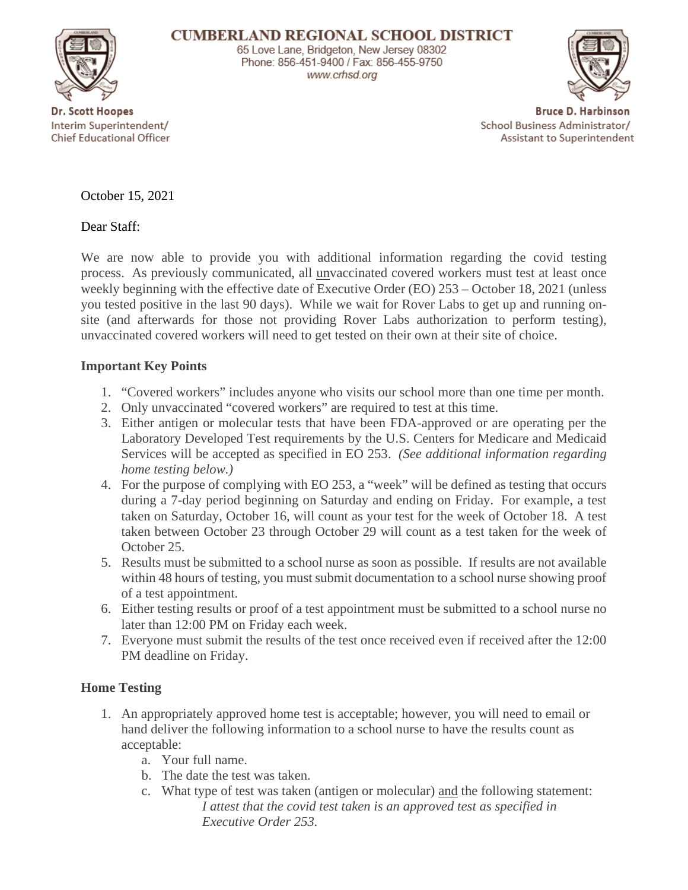

www.crhsd.org

Dr. Scott Hoopes Interim Superintendent/ Chief Educational Officer

**Bruce D. Harbinson** School Business Administrator/ Assistant to Superintendent

October 15, 2021

Dear Staff:

We are now able to provide you with additional information regarding the covid testing process. As previously communicated, all unvaccinated covered workers must test at least once weekly beginning with the effective date of Executive Order (EO) 253 – October 18, 2021 (unless you tested positive in the last 90 days). While we wait for Rover Labs to get up and running onsite (and afterwards for those not providing Rover Labs authorization to perform testing), unvaccinated covered workers will need to get tested on their own at their site of choice.

## **Important Key Points**

- 1. "Covered workers" includes anyone who visits our school more than one time per month.
- 2. Only unvaccinated "covered workers" are required to test at this time.
- 3. Either antigen or molecular tests that have been FDA-approved or are operating per the Laboratory Developed Test requirements by the U.S. Centers for Medicare and Medicaid Services will be accepted as specified in EO 253. *(See additional information regarding home testing below.)*
- 4. For the purpose of complying with EO 253, a "week" will be defined as testing that occurs during a 7-day period beginning on Saturday and ending on Friday. For example, a test taken on Saturday, October 16, will count as your test for the week of October 18. A test taken between October 23 through October 29 will count as a test taken for the week of October 25.
- 5. Results must be submitted to a school nurse as soon as possible. If results are not available within 48 hours of testing, you must submit documentation to a school nurse showing proof of a test appointment.
- 6. Either testing results or proof of a test appointment must be submitted to a school nurse no later than 12:00 PM on Friday each week.
- 7. Everyone must submit the results of the test once received even if received after the 12:00 PM deadline on Friday.

## **Home Testing**

- 1. An appropriately approved home test is acceptable; however, you will need to email or hand deliver the following information to a school nurse to have the results count as acceptable:
	- a. Your full name.
	- b. The date the test was taken.
	- c. What type of test was taken (antigen or molecular) and the following statement: *I attest that the covid test taken is an approved test as specified in Executive Order 253.*